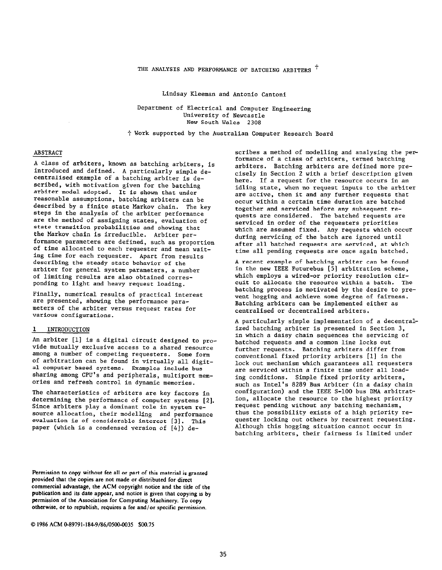## THE ANALYSIS AND PERFORMANCE OF BATCHING ARBITERS <sup>+</sup>

Lindsay Kleeman and Antonio Cantoni

Department of Electrical and Computer Engineering University of Newcastle New South Wales 2308

+ Work supported by the Australian Computer Research Board

# ABSTRACT

A class of arbiters, known as batching arbiters, is introduced and defined. A particularly simple decentralised example of a batching arbiter is described, with motivation given for the batching arbiter model adopted. It is shown that under reasonable assumptions, batching arbiters can be described by a finite state Markov chain. The key steps in the analysis of the arbiter performance are the method of assigning states, evaluation of state transition probabilities and showing that the Markov chain is irreducible. Arbiter performance parameters are defined, such as proportion of time allocated to each requester and mean waiting time for each requester. Apart from results describing the steady state behavior of the arbiter for general system parameters, a number of limiting results are also obtained corresponding to light and heavy request loading.

Finally, numerical results of practical interest are presented, showing the performance parameters of the arbiter versus request rates for various configurations.

## 1 INTRODUCTION

An arbiter [l] is a digital circuit designed to provide mutually exclusive access to a shared resource among a number of competing requesters. Some form of arbitration can be found in virtually all digital computer based systems. Examples include bus sharing among CPU's and peripherals, multiport memories and refresh control in dynamic memories.

The characteristics of arbiters are key factors in determining the performance of computer systems [2]. Since arbiters play a dominant role in system resource allocation, their modelling and performance evaluation is of considerable interest [3]. This paper (which is a condensed version of [4]) de-

Permission to copy without fee all or part of this material is granted provided that the copies are not made or distributed for direct commercial advantage, the ACM copyright notice and the title of the publication and its date appear, and notice is given that copying is by permission of the Association for Computing Machinery. To copy otherwise, or to republish, requires a fee and/or specific permission.

scribes a method of modelling and analysing the performance of a class of arbiters, termed batching arbiters. Batching arbiters are defined more precisely in Section 2 with a brief description given here. If a request for the resource occurs in an idling state, when no request inputs to the arbiter are active, then it and any further requests that occur within a certain time duration are batched together and serviced before any subsequent requests are considered. The batched requests are serviced in order of the requesters priorities which are assumed fixed. Any requests which occur during servicing of the batch are ignored until after all batched requests are serviced, at which time all pending requests are once again batched.

A recent example of batching arbiter can be found in the new IEEE Futurebus [5] arbitration scheme, which employs a wired-or priority resolution circuit to allocate the resource within a batch. The batching process is motivated by the desire to prevent hogging and achieve some degree of fairness. Batching arbiters can be implemented either as centralised or decentralised arbiters.

A particularly simple implementation of a decentralized batching arbiter is presented in Section 3, in which a daisy chain sequences the servicing of batched requests and a common line locks out further requests. Batching arbiters differ from conventional fixed priority arbiters [l] in the lock out mechanism which guarantees all requesters are serviced within a finite time under all loading conditions. Simple fixed priority arbiters, such as Intel's 8289 Bus Arbiter (in a daisy chain configuration) and the IEEE S-100 bus DMA arbitration, allocate the resource to the highest priority request pending without any batching mechanism, thus the possibility exists of a high priority requester locking out others by recurrent requesting. Although this hogging situation cannot occur in batching arbiters, their fairness is limited under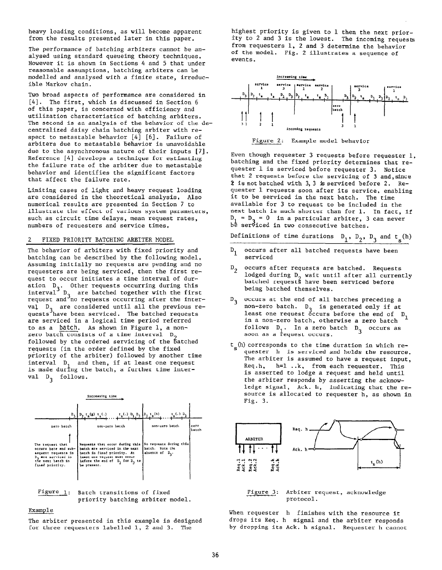heavy loading conditions, as will become apparent from the results presented later in this paper.

The performance of batching arbiters cannot be analysed using standard queueing theory techniques, Bowever it is shown in Sections 4 and 5 that under reasonable assumptions, batching arbiters can he modelled and analysed with a finite state, irreducible Markov chain.

Two broad aspects of performance are considered in [41. The first, which is discussed in Section 6 of this paper, is concerned with efficiency and utilization characteristics of batching arbiters. The second is an analysis of the behavior of the decentralized daisy chain batching arbiter with respect to metastable behavior  $[4]$   $[6]$ . Failure of arbiters due to metastable behavior is unavoidable due to the asynchronous nature of their inputs [7]. Reference [4] develops a technique for estimating the failure rate of the arbiter due to metastable behavior and identifies the significant factors that affect the failure rate.

Limiting cases of light and heavy request loading are considered in the theoretical analysis, Also numerical results are presented in Section 7 to illustrate the effect of various system parameters, such as circuit time delays, mean request rates, numbers of requesters and service times,

### 2 FIXED PRIORITY BATCHING ARBITER MODEL

The behavior of arbiters with fixed priority and batching can be described by the following model, Assuming initially no requests are pending and no requesters are being serviced, then the first request to occur initiates a time interval of duration D<sub>3</sub>. interval3 D Other requests occurring during this request and no are batched together with the fir  $requests$  occurring after the inte val D<sub>3</sub> are considered until all the previous re<br>quests have been serviced. The batched requests are serviced in a logical time period referred to as a batch. As shown in Figure 1, a nonzero batch consists of a time interval  $D_0$ followed by the ordered servicing of the batched requests (in the order defined by the fixed priority of the arbiter) followed by another time interval D<sub>1</sub> and then, if at least one request is made during the batch, a further time interval  $D_3$  follows.

| increasing time                                                                                                               |                                                                                                                                                                                   |                                                            |               |
|-------------------------------------------------------------------------------------------------------------------------------|-----------------------------------------------------------------------------------------------------------------------------------------------------------------------------------|------------------------------------------------------------|---------------|
| $P_{\rm{B}}$                                                                                                                  | $t_s(.)$ , $b_1$ , $b_3$ , $b_2$ , $t_s(h)$<br>$\mathbf{D_2} \cdot \mathbf{r_s}(\mathbf{g}) \cdot \mathbf{r_s}(\cdot)$                                                            | $t$ ( ) D,                                                 |               |
| zero batch                                                                                                                    | non-zero batch                                                                                                                                                                    | non-zero batch                                             | zero<br>batch |
| The request that<br>occurs here and sub-<br>sequent requests in<br>D. are serviced in<br>the next batch in<br>fixed priority. | Requests that occur during this<br>batch are serviced in the next<br>batch in fixed priority. At<br>least one request must occur<br>before the end of D, for D, to<br>be present. | No requests during this<br>batch. Note the<br>absence of D |               |



#### Example

The arbiter presented in this example is designed for three requesters labelled 1, 2 and 3. The

highest priority is given to 1 then the next priority to 2 and 3 is the lowest. The incoming requests from requesters 1, 2 and 3 determine the behavior of the model. Fig. 2 illustrates a sequence of events.



Figure 2: Example model behavior

Even though requester 3 requests before requester 1, batching and the fixed priority determines that requester 1 is serviced before requester 3. Notice that 2 requests before the servicing of 3 and, since 2 isnotbatched with 3,3 isserviced before 2. Requester 1 requests soon after its service, enabling it to be serviced in the next batch. The time available for 3 to request to be included in the next batch is much shorter than for 1. In fact, if  $D_1 = D_2 = 0$  in a particular arbiter, 3 can never be serviced in two consecutive batches.

Definitions of time durations  $D_1$ ,  $D_2$ ,  $D_3$  and  $t_s(h)$ 

- $D_1$  occurs after all batched requests have been serviced
- $D_2$  occurs after requests are batched. Requests lodged during  $D_2$  wait until after all currently batched requests have been serviced before being batched themselves.
- $D_3$  occurs at the end of all batches preceding a<br>non-zero batch.  $D_3$  is generated only if at non-zero batch. D<sub>3</sub> is generated only if at<br>least one request occurs before the end of D<sub>1</sub> in a non-zero batch, otherwise a zero batch follows D<sub>1</sub>. In a zero batch D<sub>3</sub> occurs as<br>soon as a request occurs.
- $t_n(h)$  corresponds to the time duration in which requester h is serviced and holds the resource. The arbiter is assumed to have a request input, Req.h, h=l ..k, from each requester. This is asserted to lodge a request and held until the arbiter responds by asserting the acknowledge signal, Ack. h, indicating that the resource is allocated to requester h, as shown in Fig. 3.



Figure 3: Arbiter request, acknowledge protocol.

When requester h finishes with the resource it drops its Req. h signal and the arbiter responds by dropping its Ack. h signal. Requester h cannot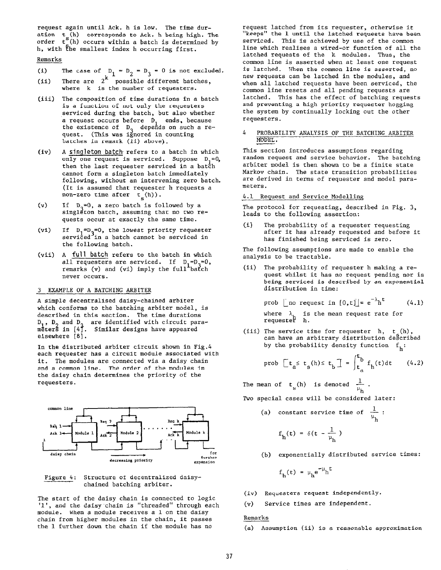request again until Ack. h is low. The time duration t (h) corresponds to Ack. h being high. The order  $t^{<}_{s}(h)$  occurs within a batch is determined by h, with the smallest index h occurring first.

### Remarks

- $(1)$ The case of  $D_1 = D_2 = D_3 = 0$  is not exclude
- (ii) There are  $2^\star$  possible different batches where k is the number of requesters.
- (iii) The composition of time durations in a batch is a function of not only the requesters serviced during the batch, but also whether a request occurs before D, ends, because the existence of D, depeñds on such a request. (This was ignored in counting batches in remark (ii) above).
- A singleton batch, refers to a batch in which  $(iv)$ only one request is serviced. Suppose  $D_1=0$ , then the last requester serviced in a batch cannot form a singleton batch immediately following, without an intervening zero batch. (It is assumed that requester h requests a non-zero time after  $t_g(h)$ ).
- $(v)$ If  $D_3=0$ , a zero batch is followed by a singleton batch, assuming that no two requests occur at exactly the same time.
- $(vi)$ If  $D_1=D_2=0$ , the lowest priority requester serviced in a batch cannot be serviced in the following batch.
- (vii) A full batch refers to the batch in which all requesters are service remarks (v) and (vi) imply the full<sup>-</sup>batch never occurs.

### 3 EXAMPLE OF A BATCHING ARBITER

A simple decentralised daisy-chained arbiter which conforms to the batching arbiter model, is described in this section. The time durations D<sub>1</sub>, D<sub>2</sub> and D<sub>3</sub><br>meters in [4]. are identified with circuit paramēterš in [4]. Similar designs have appeare elsewhere [8].

In the distributed arbiter circuit shown in Fig.4 each requester has a circuit module associated with it. The modules are connected via a daisy chain and a common line. The order of the modules in the daisy chain determines the priority of the requesters.





The start of the daisy chain is connected to logi '1', and the daisy chain is "threaded" through each module. When a module receives a 1 on the daisy chain from higher modules in the chain, it passes the 1 further down the chain if the module has no

request latched from its requester, otherwise it "keeps" the 1 until the latched requests have been serviced. This is achieved by use of the common line which realises a wired-or function of all the latched requests of the k modules. Thus, the common line is asserted when at least one request is latched. When the common line is asserted, no new requests can be latched in the modules, and when all latched requests have been serviced, the common line resets and all pending requests are latched. This has the effect of batching requests and preventing a high priority requester hogging the system by continually locking out the other requesters.

### 4 PROBABILITY ANALYSIS OF THE BATCHING ARBITER MODEL.

This section introduces assumptions regarding random request and service behavior. The batching arbiter model is then shown to be a finite state Markov chain. The state transition probabilities are derived in terms of requester and model parameters.

#### 4.1 Request and Service Modelling

The protocol for requesting, described in Fig. 3, leads to the following assertion:

(i) The probability of a requester requesting after it has already requested and before it has finished being serviced is zero.

The following assumptions are made to enable the analysis to be tractable.

(ii) The probability of requester h making a request whilst it has no request pending nor is being serviced is described by an exponential distribution in time:

prob [no request in  $[0, t]$ ]=  $e^{-\lambda}h^t$  (4.1)

where λ, is the mean request rate for<br>requester h.

(iii) The service time for requester  $h$ ,  $t_a(h)$ can have an arbitrary distribution described by the probability density function  $f_h$ :

$$
\text{prob } \left[ t_a \leq t_s \left( h \right) \leq t_b \right] = \int_{t_a}^{t_b} f_h(t) dt \qquad (4.2)
$$

The mean of  $t($ h) is denoted  $\frac{1}{t}$ . 'h

Two special cases will be considered later:

(a) constant service time of  $\frac{1}{1}$  : 'h

$$
f_h(t) = \delta(t - \frac{1}{\mu_h})
$$

(b) exponentially distributed service times:

$$
f_h(t) = \mu_h e^{-\mu_h t}
$$

- (iv) Requesters request independently.
- (v) Service times are independent.

## Remarks

(a) Assumption (ii) is a reasonable approximation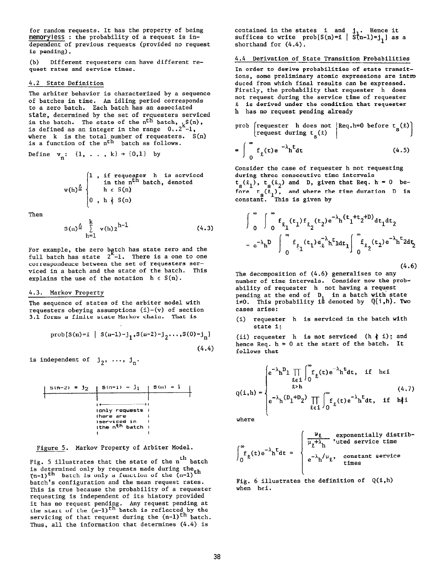for random requests. It has the property of being memoryless : the probability of a request is independent of previous requests (provided no request is pending).

(b) Different requesters can have different request rates and service times.

### 4.2 State Definition

The arbiter behavior is characterized by a sequence of batches in time. An idling period corresponds to a zero batch. Each batch has an associated state, determined by the set of requesters serviced in the batch. The state of the  $n^{LII}$  batch,  ${}^L_\text{L}\text{S(n)}$ is defined as an integer in the range  $\,\,0\,$  .2 -1, where  $k$  is the total number of requesters.  $S(n)$ is a function of the  $n<sup>th</sup>$  batch as follows.

Define  $v_n: \{1, \ldots, k\} \rightarrow \{0,1\}$  by

$$
v(h) \stackrel{\triangle}{=} \begin{cases} 1, & \text{if request } h \text{ is serviced} \\ & \text{in the nth batch, denoted} \\ & h \in S(n) \\ 0, & h \notin S(n) \end{cases}
$$

Then

$$
S(n)^{\frac{\Delta}{n}} \sum_{h=1}^{k} v(h) 2^{h-1}
$$
 (4.3)

For example, the zero betch has state zero and the full batch has state 2<sup>--</sup>-1. There is a one to one correspondence between the set of requesters serviced in a batch and the state of the batch. This explains the use of the notation  $h \in S(n)$ .

# 4.3. Markov Property

The sequence of states of the arbiter model with requesters obeying assumptions  $(i)-(v)$  of section 3.1 forms a finite state Markov chain. That is

$$
\text{prob}[S(n)=i \mid S(n-1)=j_1, S(n-2)=j_2 \dots, S(0)=j_n]
$$
\n(4.4)

is independent of  $j_2, ..., j_n$ .

$$
\begin{array}{c|c|c|c|c|c} \hline S(n-2) &=& j_2 & S(n-1) &=& j_1 & S(n) &=& i & & \\ \hline & & & & & & \\ \hline & & & & & & \\ \hline & & & & & & \\ \hline & & & & & & \\ \hline & & & & & & \\ \hline & & & & & & \\ \hline & & & & & & \\ \hline & & & & & & \\ \hline & & & & & & \\ \hline & & & & & & \\ \hline & & & & & & \\ \hline & & & & & & \\ \hline & & & & & & \\ \hline & & & & & & \\ \hline & & & & & & \\ \hline & & & & & & \\ \hline & & & & & & \\ \hline & & & & & & \\ \hline & & & & & & \\ \hline & & & & & & \\ \hline & & & & & & & \\ \hline & & & & & & & \\ \hline & & & & & & & \\ \hline & & & & & & & \\ \hline & & & & & & & \\ \hline & & & & & & & \\ \hline & & & & & & & \\ \hline & & & & & & & \\ \hline & & & & & & & \\ \hline & & & & & & &
$$

Figure 5. Markov Property of Arbiter Model.

Fig. 5 illustrates that the state of the  $\boldsymbol{\mathfrak{n}}^{\text{th}}$  batc $\boldsymbol{\mathfrak{l}}$ is determined only by requests made during the $_{\texttt{+}}$  $(n-1)$ th batch is only a function of the (n-l $\,$ batch's configuration and the mean request rates. This is true because the probability of a requester requesting is independent of its history provided it has no request pending. Any request pending at the start of the  $(n-1)^{<sub>th</sub>}$  batch is reflected by the servicing of that request during the  $(n-1)$ <sup>th</sup> batch. Thus, all the information that determines (4.4) is

contained in the states i and j<sub>1</sub>. Hence it suffices to write prob[S(n)=i | S(n-l)=j<sub>1</sub>] as a shorthand for (4.4).

4.4 Derivation of State Transition Probabilities

In order to derive probabilities of state transitions, some preliminary atomic expressions are intro duced from which final results can be expressed. Firstly, the probability that requester h does not request during the service time of requester Q is derived under the condition that requester h has no request pending already

prob [requester h does not 
$$
Req.h=0
$$
 before  $t_s(\ell)$ ]  
=  $\int_{0}^{\infty} f_{\ell}(t)e^{-\lambda}h^{t}dt$  (4.5)

Consider the case of requester h not requesting during three consecutive time intervals  $t_{\alpha}(\ell_{1}),$   $t_{\alpha}(\ell_{2})$  and D, given that Req. h = 0 before  $\bm{{\mathsf{t}}}_{_{\mathbf{S}}}(\bm{\ell}_1)$ , and where the time duration D is constant. This is given by

$$
\int_{0}^{\infty} \int_{0}^{\infty} f_{\ell_1}(t_1) f_{\ell_2}(t_2) e^{-\lambda_h (t_1 + t_2 + D)} dt_1 dt_2
$$
  
=  $e^{-\lambda_h D} \int_{0}^{\infty} f_{\ell_1}(t_1) e^{-\lambda_h t} dt_1 \int_{0}^{\infty} f_{\ell_2}(t_2) e^{-\lambda_h t} 2 dt_2$ 

(4.6)

The decomposition of (4.6) generalises to any number of time intervals. Consider now the prob; ability of requester h not having a request pending at the end of  $D_1$  in a batch with state  $i \neq 0$ . This probability is denoted by  $Q(i,h)$ . Two cases arise:

 $(i)$  requester h is serviced in the batch with state i;

(ii) requester h is not serviced (h  $\frac{1}{2}$  i); and hence Req.  $h = 0$  at the start of the batch. It follows that

$$
Q(i,h) = \begin{cases} e^{-\lambda}h^{D} \prod_{\substack{\ell \in I \\ \ell > h}} \int_{0}^{\infty} f_{\ell}(t)e^{-\lambda}h^{t}dt, & \text{if} \quad h \in I \\ e^{-\lambda}h^{(D}1+D_{2}) \prod_{\ell \in I} \int_{0}^{\infty} f_{\ell}(t)e^{-\lambda}h^{t}dt, & \text{if} \quad h \notin I \end{cases}
$$
 (4.7)

where  
\n
$$
\int_{0}^{\infty} f_{\ell}(t) e^{-\lambda} h^{t} dt = \begin{cases}\n\frac{\mu_{\ell}}{\mu_{\ell} + \lambda_{h}} & \text{vited service time} \\
e^{-\lambda} h^{\prime} \mu_{\ell}, & \text{constant service time} \\
e^{-\lambda} h^{\prime} \mu_{\ell}, & \text{constant service time} \\
\end{cases}
$$

Fig. 6 illustrates the definition of  $Q(i,h)$ when hei.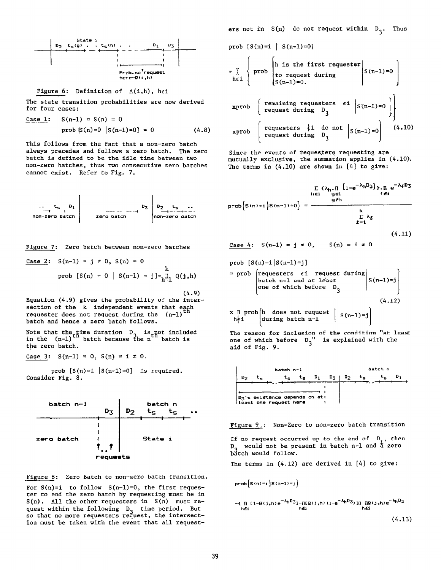

Figure 6: Definition of  $A(i,h)$ , hei

The state transition probabilities are now derived for four cases:

Case 1: 
$$
S(n-1) = S(n) = 0
$$
  
prob  $\mathbb{E}(n)=0$  | $S(n-1)=0$ ] = 0 (4.8)

This follows from the fact that a non-zero batch always precedes and follows a zero batch. The zero batch is defined to be the idle time between two non-zero batches, thus two consecutive zero batches cannot exist. Refer to Fig. 7.



Figure 7: Zero batch between non-zero batche

Case 2: 
$$
S(n-1) = j \neq 0
$$
,  $S(n) = 0$   
prob  $[S(n) = 0 | S(n-1) = j]_{\text{min}}^{\text{max}} Q(j,h)$ 

(4.9) Equation (4.9) gives the probability of the inter $s$  and  $s$  is the contract events that each section of the k independent events that  $(s-1)$  the requester does not request during the (n-1) batch and hence a zero batch follows.

Note that the time duration D<sub>3</sub> is not in<br>in the (n-1)<sup>th</sup> batch because the n<sup>th</sup> batcl he n the zero batch.

Case 3:  $S(n-1) = 0$ ,  $S(n) = i \neq 0$ .

prob  $[S(n)=i | S(n-1)=0]$  is required. Consider Fig. 8.



Figure 8: Zero Batch to non-zero batch transition.

For  $S(n)=i$  to follow  $S(n-1)=0$ , the first requester to end the zero batch by requesting must be in  $S(n)$ . All the other requesters in  $S(n)$  must request within the following  $D_2$  time period. But so that no more requesters request, the intersection must be taken with the event that all requesters not in  $S(n)$  do not request within  $D_2$ . Thus

prob  $[S(n)=i | S(n-1)=0]$ 

$$
\begin{array}{c}\n\text{= } \sum_{h \in \mathbf{1}} \left\{ \text{prob} \begin{bmatrix} \text{h is the first request} \\ \text{to request during} \\ \text{S(n-1)=0.} \end{bmatrix} \right\} \text{prob} \begin{bmatrix} \text{remainder} \\ \text{sumning} \\ \text{request during} \end{bmatrix} \text{prob} \begin{bmatrix} \text{remaining requests } \text{et} \\ \text{request during} \end{bmatrix} \right\} \text{prob} \begin{bmatrix} \text{request during} \\ \text{request during} \end{bmatrix} \text{binomial} \begin{bmatrix} \text{square} \\ \text{sumning} \end{bmatrix} \text{binomial} \begin{bmatrix} \text{square} \\ \text{sumning} \end{bmatrix} \text{binomial} \begin{bmatrix} \text{true} \\ \text{true} \end{bmatrix} \text{binomial} \begin{bmatrix} \text{true} \\ \text{true} \end{bmatrix} \text{binomial} \begin{bmatrix} \text{true} \\ \text{true} \end{bmatrix} \text{binomial} \begin{bmatrix} \text{true} \\ \text{true} \end{bmatrix} \text{binomial} \begin{bmatrix} \text{true} \\ \text{true} \end{bmatrix} \text{binomial} \begin{bmatrix} \text{true} \\ \text{true} \end{bmatrix} \text{binomial} \begin{bmatrix} \text{true} \\ \text{true} \end{bmatrix} \text{binomial} \begin{bmatrix} \text{true} \\ \text{true} \end{bmatrix} \text{binomial} \begin{bmatrix} \text{true} \\ \text{true} \end{bmatrix} \text{binomial} \begin{bmatrix} \text{true} \\ \text{true} \end{bmatrix} \text{binomial} \begin{bmatrix} \text{true} \\ \text{true} \end{bmatrix} \text{binomial} \begin{bmatrix} \text{true} \\ \text{true} \end{bmatrix} \text{binomial} \begin{bmatrix} \text{true} \\ \text{true} \end{bmatrix} \text{binomial} \begin{bmatrix} \text{true} \\ \text{true} \end{bmatrix} \text{binomial} \begin{bmatrix} \text{true} \\ \text{true} \end{bmatrix} \text{binomial} \begin{bmatrix} \text{true} \\ \text{true} \end{bmatrix} \text{binomial} \begin{bmatrix} \text{true} \\ \text{true} \end{bmatrix} \text{binomial} \begin{bmatrix} \text{true} \\ \text{true}
$$

Since the events of requesters requesting are mutually exclusive, the summation applies in (4.10). The terms in  $(4.10)$  are shown in  $[4]$  to give:

$$
\sum_{h \in i} \{ \lambda_h, \prod_{g \in i} \{1 - e^{-\lambda_h D_3} \} \} \cdot \prod_{f \in i} e^{-\lambda_f D_3}
$$
\n
$$
\text{prob} \left[ S(n) = i \mid S(n-1) = 0 \right] = \frac{g \neq h}{\sum_{k=1}^{h} \lambda_k}
$$

$$
(4.11)
$$

I

Case 4:  $S(n-1) = j \neq 0$ ,  $S(n) = i \neq 0$ 

prob  $[S(n)=i|S(n-1)=j]$ 

= prob (requesters 
$$
\epsilon i
$$
 request during  
batch n-1 and at least  
one of which before  $\begin{bmatrix} 1 \\ 3 \\ 1 \end{bmatrix}$  (4.12)

x ∏ prob|h does not reques hei  $\zeta$ during batch  $n-1$  $S(n-1)=j$ 

The reason for inclusion of the condition "at least one of which before  $\,\mathbb{D}_\mathtt{2}^{\,\,\prime\,\prime}\,$  is explained with the aid of Fig. 9.



Figure 9.: Non-Zero to non-zero batch transition

If no request occurred up to the end of  $D_1$ , then  $D_2$  would not be present in batch n-1 and a zero batch would follow.

The terms in (4.12) are derived in [4] to give:

$$
\text{prob}\left\{S(n)=i\left\{S(n-1)=j\right\}\right\}
$$
\n
$$
= \{ \prod_{h\in I} (1 - g(j+h))e^{-\lambda_h D_{3}} - \text{Rf}g(j,h) (1 - e^{-\lambda_h D_{3}}) \} \text{ Rf}g(j,h) e^{-\lambda_h D_{3}}
$$
\n
$$
\text{Rf}i \tag{4.13}
$$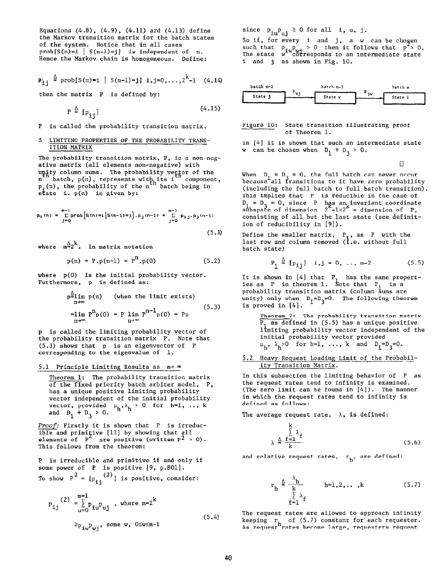Equations  $(4.8)$ ,  $(4.9)$ ,  $(4.11)$  ard  $(4.13)$  define the Markov transition matrix for the batch states of the system. Notice that in all cases prob[S(n)=i | S(n-1)=j] is independent of n. Hence the Markov chain is homogeneous. Define:

$$
\mathbf{p}_{\mathbf{i} \mathbf{j}} \triangleq \text{prob}[S(n)=i | S(n-1)=j] \mathbf{i}, j=0,...,2^{k}-1 \quad (4.14)
$$

then the matrix P is defined by:

$$
P \triangleq [P_{ij}] \tag{4.15}
$$

P is called the probability transition matrix.

### 5 LIMITING PROPERTIES OF THE PROBABILITY TRANS-ITION MATRIX

The probability transition matrix, P, is a non-negative matrix (all elements non-negative) with , batch being in is given by:

$$
\rho_{i}(n) = \sum_{j=0}^{m-1} prob(s(n) = i | s(n-1) = j], \rho_{j}(n-1) = \sum_{j=0}^{m-1} \rho_{i,j}, \rho_{j}(n-1)
$$
\n(5.1)

where  $m^{\underline{\Delta}} 2^{\underline{k}}$ . In matrix notation

$$
p(n) = P.p(n-1) = Pn. p(0)
$$
 (5.2)

 $\ddot{\phantom{1}}$ 

where p(0) is the initial probability vector. Furthermore, p is defined as:

$$
p^{\Delta} \lim_{n \to \infty} p(n) \qquad \text{(when the limit exists)}
$$
\n
$$
= \lim_{n \to \infty} P^{n} p(0) = P \lim_{n \to \infty} P^{n-1} p(0) = P p
$$
\n(5.3)

P is called the limiting probability vector of the probability transition matrix P. Note that (5.3) shows that p is an eigenvector of P corresponding to the eigenvalue of 1.

### 5.1 Principle Limiting Results as  $n \rightarrow \infty$

Theorem 1: The probability transition matrix of the fixed priority batch arbiter model, P, has a unique positive limiting probability vector independent of the initial probability vector, provided  $\mu_h, \lambda_h > 0$  for h=1, .., k<br>and  $h + h > 0$ . and  $D_1 + D_3 > 0$ .

Proof: Firstly it is shown that P is irreducible and primitive  $[11]$  by showing that al elements of  $\begin{bmatrix} P^2 & \text{are positive (written } P^2 > 0) \end{bmatrix}$ This follows from the theorem:

P is irreducible and primitive if and only if some power of  $P$  is positive  $[9, p.801]$ . To show  $P^2 = [p_{i,j}^{-(2)}]$  is positive, conside

$$
P_{ij}^{(2)} = \sum_{u=0}^{m=1} p_{i\dot{u}} p_{uj} , where m=2^k
$$
  
\n
$$
\geq p_{i\dot{w}} p_{\dot{w}j}, \text{ some } w, 0 \leq w \leq m-1
$$
 (5.4)

since  $P_{iu}P_{uj} \ge 0$  for all i, u, j.

So if, for every  $\,$  i  $\,$  and  $\,$  j,  $\,$  a  $\,$  w  $\,$  can be cho $\,$ ser $\,$ such that  $p_{\perp} p_{\perp} > 0$ w~"cöt then it follows that  $p > 0$ . The state  $w^{\ast\ast}$ c $\eth$ rresponds to an intermediate stat i and j as shown in Fig. 10.



#### Figure 10: State transition illustrating proof of Theorem 1.

In [4] it is shown that such an intermediate state w can be chosen when  $D_1 + D_3 > 0$ .

 $\Box$ 

When  $D_1 = D_2 = 0$ , the full batch can never occur because all transitions to it have zero probabil (including the full batch to full batch transition). This implies that P is reducible in the case of  $D_1 = D_3 = 0$ , since P has an invariant coordinat<br>subspace of dimension  $2^K - 1 < 2^K =$  dimension of P, consisting of all but the last state (see definition of reducibility in [9]).

Define the smaller matrix,  $P_1$ , as P with the last row and column removed  $(i.e.$  without full batch state)

$$
P_1 \stackrel{\Delta}{=} [P_{1j}] \quad i,j = 0, \ldots, m-2
$$
 (5.5)

It is shown in [4] that P Ņ has the same proper ies as P in theorem 1. Note that P, is a probability transition matrix (column sums are unity) only when  $D_1=D_3=0$ . The following theorem is proved in [4].

Theorem 2: The probability transition matrix  $P_1$  as defined in (5.5) has a unique positive limiting probability vector independent of the initial probability vector provided  $\mu_h$ ,  $\lambda_h > 0$  for h=1, ..., k and  $D_1 = D_3 = 0$ .

<u>5.2 Heavy Request Loading Limit of the Probabi</u> ity Transition Matrix.

In this subsection the limiting behavior of P as the request rates tend to infinity is examined. (The zero limit can be found in  $[4]$ ). The manner in which the request rates tend to infinity is defined as follows:

The average request rate,  $\lambda$ , is defined:

$$
\lambda \stackrel{\triangle}{=} \frac{\sum_{\mathbf{f}=\mathbf{1}}^{k} \lambda_{\mathbf{f}}}{k} \tag{5.6}
$$

and relative request rates,  $r_{h}$ , are defined:

$$
r_h \stackrel{\Delta}{=} \frac{\lambda_h}{\sum_{\substack{k=1 \ k \ \in \mathbb{Z}^2}} \lambda_f} \qquad h=1,2,\ldots,k \tag{5.7}
$$

The request rates are allowed to approach infinity keeping  $\,$  r $\,$  of (5.7) constant for each request $\,$ As request rates become large, requesters reques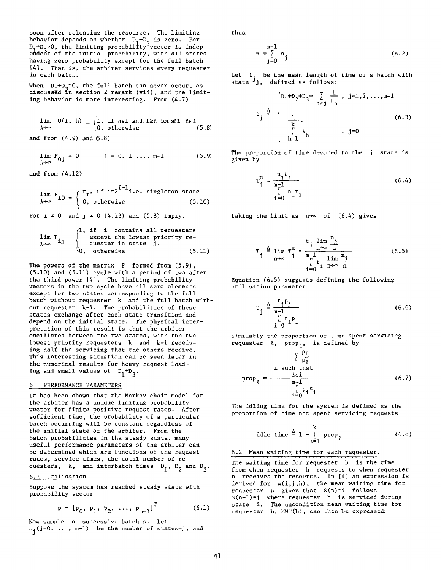soon after releasing the resource. The limiting behavior depends on whether  $D_1+D_2$  is zero. i1tı For D.+D. $>$ O, the limiting probability vector is indep endent of the initial probability, with all states having zero probability except for the full batch [41. That is, the arbiter services every requester in each batch.

When  $D_1+D_2=0$ , the full batch can never occur, as discussed in section 2 remark (vii), and the limiting behavior is more interesting. From (4.7)

$$
\lim_{\lambda \to \infty} Q(i, h) = \begin{cases} 1, & \text{if } h \in i \text{ and } h \geq \ell \text{ for all } \ell \in i \\ 0, & \text{otherwise} \end{cases}
$$
(5.8)

and from  $(4.9)$  and  $(5.8)$ 

$$
\lim_{\lambda \to \infty} P_{0j} = 0 \qquad j = 0, 1, ..., m-1 \qquad (5.9)
$$

and from (4.12)

$$
\lim_{\lambda \to \infty} P_{i0} = \begin{cases} r_f, & \text{if } i = 2^{f-1} \text{ i.e. singleton state} \\ 0, & \text{otherwise} \end{cases}
$$
(5.10)

For  $i \neq 0$  and  $j \neq 0$  (4.13) and (5.8) imply.

$$
\lim_{\lambda \to \infty} P_{ij} = \begin{cases} 1, & \text{if } i \text{ contains all requests} \\ & \text{except the lowest priority re-} \\ & \text{quester in state } j. \\ 0, & \text{otherwise} \end{cases}
$$
(5.11)

The powers of the matrix P formed from  $(5.9)$ , (5.10) and (5.11) cycle with a period of two after the third power [4]. The limiting probability vectors in the two cycle have all zero elements except for two states corresponding to the full batch without requester k and the full batch without requester k-l. The probabilities of these states exchange after each state transition and depend on the initial state. The physical interpretation of this result is that the arbiter oscillates between the two states, with the two lowest priority requesters k and k-l receiving half the servicing that the others receive. This interesting situation can be seen later in the numerical results for heavy request loading and small values of  $D_1 + D_3$ .

### 6 PERFORMANCE PARAMETERS

It has been shown that the Markov chain model for the arbiter has a unique limiting probability vector for finite positive request rates. After sufficient time, the probability of a particular batch occurring will be constant regardless of the initial state of the arbiter. From the batch probabilities in the steady state, many useful performance parameters of the arbiter can be determined which are functions of the request rates, service times, the total number of requesters, k, and interbatch times  $D_1$ ,  $D_2$  and  $D_3$ .

#### 6.1 Utilisation

Suppose the system has reached steady state with probability vector

$$
p = [p_0, p_1, p_2, \dots, p_{m-1}]^{T}
$$
 (6.1)

Now sample n successive batches. Let  $n_j(j=0, \ldots, m-1)$  be the number of states=j, and thus

$$
n = \sum_{j=0}^{m-1} n_j
$$
 (6.2)

Let t<sub>.</sub> be the mean length<br>state <sup>j</sup>j, defined as follow be the mean length of time of a batch with

$$
t_{j} \triangleq \begin{cases} p_{1} + p_{2} + p_{3} + \sum_{h \in j} \frac{1}{\mu_{h}} , j=1,2,...,m-1 \\ \frac{1}{\sum_{h=1}^{k} \lambda_{h}} , j=0 \end{cases}
$$
 (6.3)

The proportion of time devoted to the j state is given by

$$
T_j^n = \frac{n_j t_j}{\sum_{i=0}^{m-1} n_i t_i}
$$
 (6.4)

taking the limit as  $n\nrightarrow\infty$  of (6.4) gives

$$
T_{j} \stackrel{\triangle}{=} \lim_{n \to \infty} T_{j}^{n} = \frac{t_{j} \lim_{n \to \infty} \frac{n_{j}}{n}}{\sum_{\substack{t = 1 \text{ in } n_{\text{th}} \\ i = 0}}^{n_{\text{th}}} \lim_{n \to \infty} \frac{n_{j}}{n}}
$$
(6.5)

Equation (6.5) suggests defining the following utilisation parameter

$$
U_j \triangleq \frac{t_j P_j}{\sum_{i=0}^{m-1} t_i P_i}
$$
 (6.6)

Similarly the proportion of time spent servicing requester  $k$ , prop<sub>0</sub>, is defined by

$$
\sum \frac{P_i}{\mu_{\ell}}
$$
  
\ni such that  
\n
$$
prop_{\ell} = \frac{\ell \epsilon i}{m-1}
$$
  
\n
$$
\sum_{i=0}^{p_i} P_i^i
$$
 (6.7)

The idling time for the system is defined as the proportion of time not spent servicing requests

$$
\text{idle time } \stackrel{\Delta}{=} 1 - \sum_{\ell=1}^{k} \text{prop}_{\ell} \tag{6.8}
$$

6.2 Mean waiting time for each requester.

The waiting time for requester h is the time from when requester h requests to when requester h receives the resource. In [4] an expression is derived for  $w(i,j,h)$ , the mean waiting time for requester h given that S(n)=i follows S(n-l)=j where requester  $\:$  is serviced durin state i. The uncondition mean waiting time for requester h, MWT(h), can then be expressed: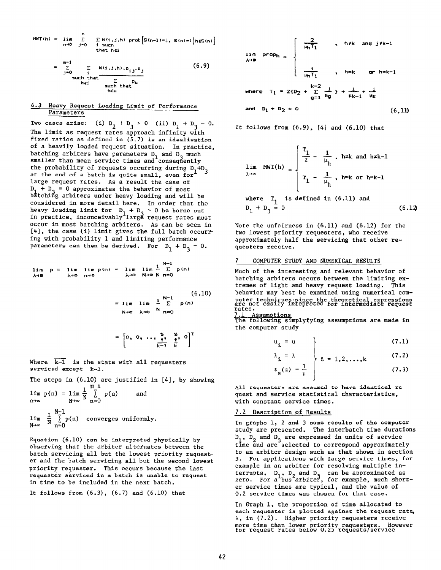HKT(h) = lim L W(i,j,hI prob[S(n-l)=j. S(n)+ hGSf(nJ n-m j=o i such I I that hEi

$$
= \sum_{j=0}^{m-1} \sum_{\substack{i \text{such that} \\ i \in i}} \frac{w(i,j,h) \cdot p_{i,j} \cdot p_j}{\sum_{\substack{k \text{such that} \\ h \in u}} p_u}
$$
(6.9)

#### 6.3 Heavy Request Loading Limit of Performance Parameters

Two cases arise: (i)  $D_1 + D_3 > 0$  (ii)  $D_1 + D_3 = 0$ . The limit as request rates approach infinity with fixed ratios as defined in (5.7) is an idealisation of a heavily loaded request situation. In practice, batching arbiters have parameters D, and D, much  $s$ maller than mean service times and consequent the probability of requests occurring during  $D_1+D_3$ at the end of a batch is quite small, even for large request rates. As a result the case of  $D_1 + D_2 = 0$  approximates the behavior of most batching arbiters under heavy loading and will be considered in more detail here. In order that the heavy loading limit for  $D_1 + D_2 > 0$  be borne out in practice, inconceivably large request rates must occur in most batching arbiters. As can be seen in [4], the case (i) limit gives the full batch occurr ing with probability 1 and limiting performance parameters can then be derived. For  $D_1 + D_3 = 0$ .

$$
\lim_{\lambda \to \infty} p = \lim_{\lambda \to \infty} \lim_{n \to \infty} p(n) = \lim_{\lambda \to \infty} \lim_{N \to \infty} \frac{1}{N-1} p(n)
$$
\n
$$
\lim_{\lambda \to \infty} p = \lim_{\lambda \to \infty} p(n) = 0
$$

$$
= \lim_{N \to \infty} \lim_{\lambda \to \infty} \frac{1}{N} \sum_{n=0}^{N-1} p(n)
$$
\n
$$
= \lim_{N \to \infty} \lim_{\lambda \to \infty} \frac{1}{N} \lim_{n \to \infty} (6.10)
$$

$$
= \begin{bmatrix} 0, & 0, & \cdots, & \frac{\kappa}{1}, & \frac{\kappa}{1}, & 0 \\ & & \frac{\kappa}{1} & \frac{1}{16} & 0 \end{bmatrix}^T
$$

Where  $k-1$  is the state with all requesters serviced except k-l.

The steps in (6.10) are justified in [4], by showing N-l

$$
\lim_{n \to \infty} p(n) = \lim_{N \to \infty} \frac{1}{N} \sum_{n=0}^{N} p(n) \quad \text{and} \quad
$$
  

$$
\lim_{N \to \infty} \frac{1}{N} \sum_{n=0}^{N-1} p(n) \quad converges \text{ uniformly.}
$$

Equation (6.10) can be interpreted physically by observing that the arbiter alternates between the batch servicing all but the lowest priority requester and the batch servicing all but the second lowest priority requester. This occurs because the last requester serviced in a batch is unable to request in time to be included in the next batch.

It follows from  $(6.3)$ ,  $(6.7)$  and  $(6.10)$  that

$$
\lim_{\lambda \to 0} \text{ prop}_{h} = \begin{cases} \frac{2}{\mu_{h}T_{1}} & , h \neq k \text{ and } j \neq k-1 \\ & \\ \frac{1}{\mu_{h}T_{1}} & , h \neq k \text{ or } h \neq k-1 \end{cases}
$$
\nwhere  $T_{1} = 2\{D_{2} + \sum_{q=1}^{k-2} \frac{1}{\mu_{q}}\} + \frac{1}{\mu_{k-1}} + \frac{1}{\mu_{k}}$   
\nand  $D_{1} + D_{2} = 0$  (6.11)

It follows from  $(6.9)$ ,  $[4]$  and  $(6.10)$  that

$$
\lim_{\lambda \to \infty} MWT(h) = \begin{cases} \frac{T_1}{2} - \frac{1}{\mu_h}, & h \neq k \text{ and } h \neq k-1 \\ T_1 - \frac{1}{\mu_h}, & h \neq k \text{ or } h = k-1 \end{cases}
$$
  
where  $T_1$  is defined in (6.11) and  
 $D_1 + D_3 = 0$  (6.12)

Note the unfairness in (6.11) and (6.12) for the two lowest priority requesters, who receive approximately half the servicing that other requesters receive.

### 7 COMPUTER STUDY AND NUMERICAL RESULTS

Much of the interesting and relevant behavior of batching arbiters occurs between the limiting extremes of light and heavy request loading. This behavior may best be examined using numerical com puter techniques since the theoretical expressio<br>are not easily intepreted for intermediate reque rates. 7.1 Assumption

The following simplyfying assumptions are made in the computer study

$$
u_{\ell} = u \tag{7.1}
$$

$$
\lambda_{\ell} = \lambda \qquad \qquad \downarrow \qquad \qquad (7.2)
$$

$$
t_{s}(\ell) = \frac{1}{\mu} \qquad (7.3)
$$

All requesters are assumed to have identical request and service statistical characteristics, with constant service times.

#### 7.2 Description of Results

In graphs 1, 2 and 3 some results of the computer study are presented. The interbatch time durations 1, 2 and 3 and allected to correspond approximat  $D_1$ ,  $D_2$  and  $D_3$  are expressed in units of service to an arbiter design such as that shown in section 3. For applications with large service times, for example in an arbiter for resolving multiple interrupts, D<sub>1</sub>, D<sub>2</sub> and D<sub>3</sub> can be approximated as<br>zero. For a bus arbiter, for example, much shor er service times are typical, and the value of 0.2 service times was chosen for that case.

In Graph 1, the proportion of time allocated to each requester is plotted against the request rate,  $\lambda$ , in (7.2). Higher priority requesters receive more time than lower priority requesters. However for request rates below 0.25 requests/service